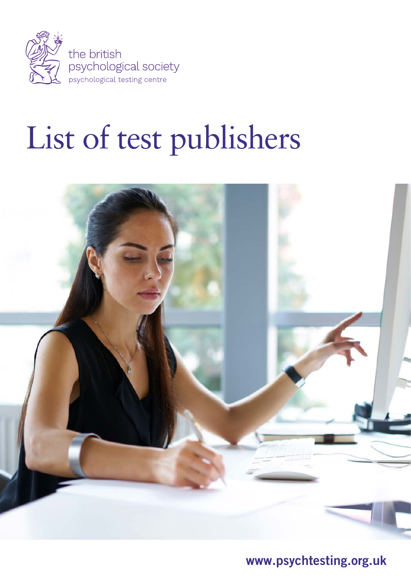

# List of test publishers



www.psychtesting.org.uk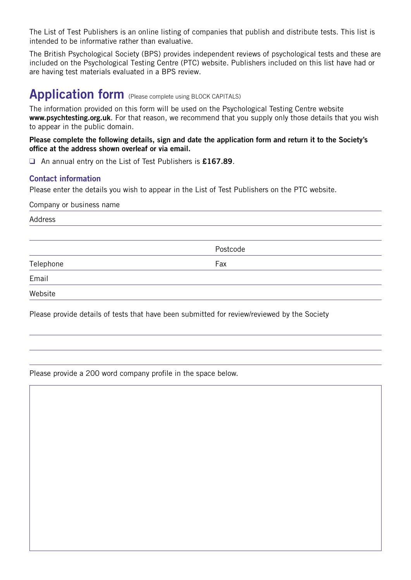The List of Test Publishers is an online listing of companies that publish and distribute tests. This list is intended to be informative rather than evaluative.

The British Psychological Society (BPS) provides independent reviews of psychological tests and these are included on the Psychological Testing Centre (PTC) website. Publishers included on this list have had or are having test materials evaluated in a BPS review.

# Application form (Please complete using BLOCK CAPITALS)

The information provided on this form will be used on the Psychological Testing Centre website www.psychtesting.org.uk. For that reason, we recommend that you supply only those details that you wish to appear in the public domain.

Please complete the following details, sign and date the application form and return it to the Society's office at the address shown overleaf or via email.

□ An annual entry on the List of Test Publishers is £167.89.

## Contact information

Please enter the details you wish to appear in the List of Test Publishers on the PTC website.

Company or business name

Address

Postcode

Telephone Fax

Email

Website

Please provide details of tests that have been submitted for review/reviewed by the Society

Please provide a 200 word company profile in the space below.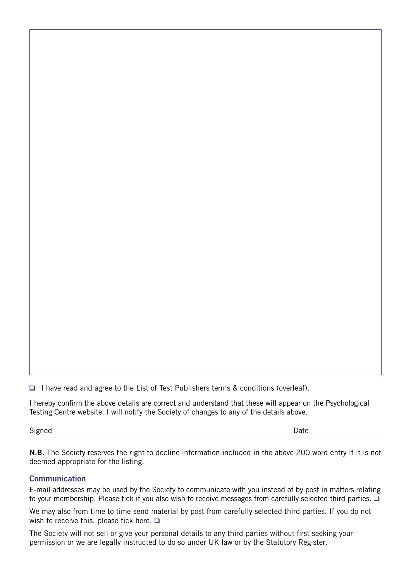$\Box$  I have read and agree to the List of Test Publishers terms & conditions (overleaf).

I hereby confirm the above details are correct and understand that these will appear on the Psychological Testing Centre website. I will notify the Society of changes to any of the details above.

Signed **Date** 

N.B. The Society reserves the right to decline information included in the above 200 word entry if it is not deemed appropriate for the listing.

#### **Communication**

E-mail addresses may be used by the Society to communicate with you instead of by post in matters relating to your membership. Please tick if you also wish to receive messages from carefully selected third parties.  $\Box$ 

We may also from time to time send material by post from carefully selected third parties. If you do not wish to receive this, please tick here.  $\square$ 

The Society will not sell or give your personal details to any third parties without first seeking your permission or we are legally instructed to do so under UK law or by the Statutory Register.